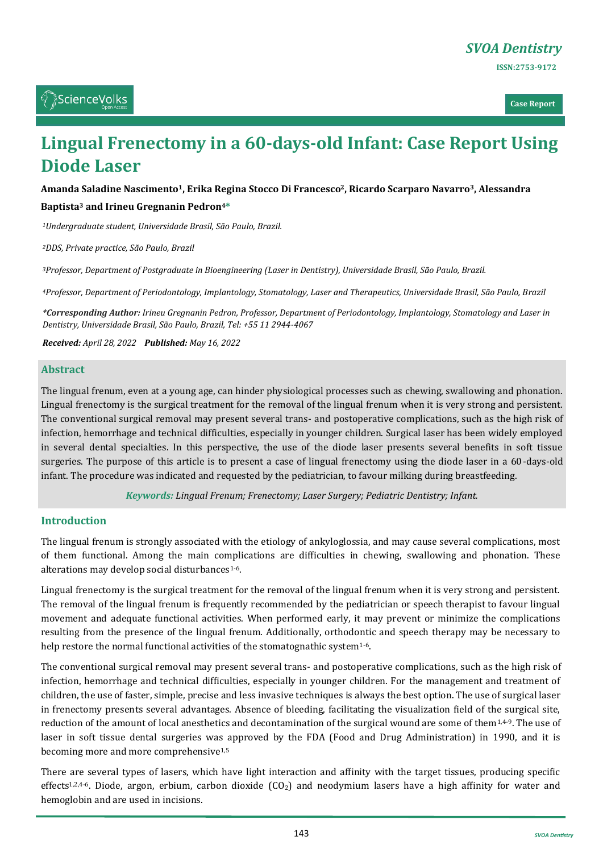**Case Report**

# **Lingual Frenectomy in a 60-days-old Infant: Case Report Using Diode Laser**

## **Amanda Saladine Nascimento1, Erika Regina Stocco Di Francesco2, Ricardo Scarparo Navarro3, Alessandra**

#### **Baptista<sup>3</sup> and Irineu Gregnanin Pedron4\***

*<sup>1</sup>Undergraduate student, Universidade Brasil, São Paulo, Brazil.*

*<sup>2</sup>DDS, Private practice, São Paulo, Brazil*

*<sup>3</sup>Professor, Department of Postgraduate in Bioengineering (Laser in Dentistry), Universidade Brasil, São Paulo, Brazil.*

*<sup>4</sup>Professor, Department of Periodontology, Implantology, Stomatology, Laser and Therapeutics, Universidade Brasil, São Paulo, Brazil*

*\*Corresponding Author: Irineu Gregnanin Pedron, Professor, Department of Periodontology, Implantology, Stomatology and Laser in Dentistry, Universidade Brasil, São Paulo, Brazil, Tel: +55 11 2944-4067*

*Received: April 28, 2022 Published: May 16, 2022*

#### **Abstract**

The lingual frenum, even at a young age, can hinder physiological processes such as chewing, swallowing and phonation. Lingual frenectomy is the surgical treatment for the removal of the lingual frenum when it is very strong and persistent. The conventional surgical removal may present several trans- and postoperative complications, such as the high risk of infection, hemorrhage and technical difficulties, especially in younger children. Surgical laser has been widely employed in several dental specialties. In this perspective, the use of the diode laser presents several benefits in soft tissue surgeries. The purpose of this article is to present a case of lingual frenectomy using the diode laser in a 60-days-old infant. The procedure was indicated and requested by the pediatrician, to favour milking during breastfeeding.

*Keywords: Lingual Frenum; Frenectomy; Laser Surgery; Pediatric Dentistry; Infant.*

#### **Introduction**

The lingual frenum is strongly associated with the etiology of ankyloglossia, and may cause several complications, most of them functional. Among the main complications are difficulties in chewing, swallowing and phonation. These alterations may develop social disturbances<sup>1-6</sup>.

Lingual frenectomy is the surgical treatment for the removal of the lingual frenum when it is very strong and persistent. The removal of the lingual frenum is frequently recommended by the pediatrician or speech therapist to favour lingual movement and adequate functional activities. When performed early, it may prevent or minimize the complications resulting from the presence of the lingual frenum. Additionally, orthodontic and speech therapy may be necessary to help restore the normal functional activities of the stomatognathic system<sup>1-6</sup>.

The conventional surgical removal may present several trans- and postoperative complications, such as the high risk of infection, hemorrhage and technical difficulties, especially in younger children. For the management and treatment of children, the use of faster, simple, precise and less invasive techniques is always the best option. The use of surgical laser in frenectomy presents several advantages. Absence of bleeding, facilitating the visualization field of the surgical site, reduction of the amount of local anesthetics and decontamination of the surgical wound are some of them $1,4-9$ . The use of laser in soft tissue dental surgeries was approved by the FDA (Food and Drug Administration) in 1990, and it is becoming more and more comprehensive1,5

There are several types of lasers, which have light interaction and affinity with the target tissues, producing specific effects<sup>1,2,4-6</sup>. Diode, argon, erbium, carbon dioxide  $(CO<sub>2</sub>)$  and neodymium lasers have a high affinity for water and hemoglobin and are used in incisions.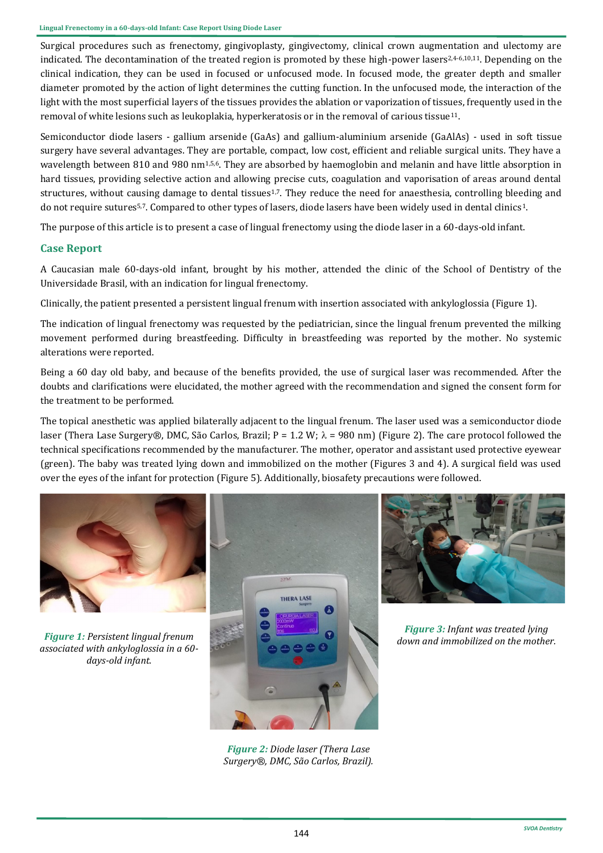Surgical procedures such as frenectomy, gingivoplasty, gingivectomy, clinical crown augmentation and ulectomy are indicated. The decontamination of the treated region is promoted by these high-power lasers2,4-6,10,11. Depending on the clinical indication, they can be used in focused or unfocused mode. In focused mode, the greater depth and smaller diameter promoted by the action of light determines the cutting function. In the unfocused mode, the interaction of the light with the most superficial layers of the tissues provides the ablation or vaporization of tissues, frequently used in the removal of white lesions such as leukoplakia, hyperkeratosis or in the removal of carious tissue11.

Semiconductor diode lasers - gallium arsenide (GaAs) and gallium-aluminium arsenide (GaAlAs) - used in soft tissue surgery have several advantages. They are portable, compact, low cost, efficient and reliable surgical units. They have a wavelength between 810 and 980 nm<sup>1,5,6</sup>. They are absorbed by haemoglobin and melanin and have little absorption in hard tissues, providing selective action and allowing precise cuts, coagulation and vaporisation of areas around dental structures, without causing damage to dental tissues<sup>1,7</sup>. They reduce the need for anaesthesia, controlling bleeding and do not require sutures<sup>5,7</sup>. Compared to other types of lasers, diode lasers have been widely used in dental clinics<sup>1</sup>.

The purpose of this article is to present a case of lingual frenectomy using the diode laser in a 60-days-old infant.

# **Case Report**

A Caucasian male 60-days-old infant, brought by his mother, attended the clinic of the School of Dentistry of the Universidade Brasil, with an indication for lingual frenectomy.

Clinically, the patient presented a persistent lingual frenum with insertion associated with ankyloglossia (Figure 1).

The indication of lingual frenectomy was requested by the pediatrician, since the lingual frenum prevented the milking movement performed during breastfeeding. Difficulty in breastfeeding was reported by the mother. No systemic alterations were reported.

Being a 60 day old baby, and because of the benefits provided, the use of surgical laser was recommended. After the doubts and clarifications were elucidated, the mother agreed with the recommendation and signed the consent form for the treatment to be performed.

The topical anesthetic was applied bilaterally adjacent to the lingual frenum. The laser used was a semiconductor diode laser (Thera Lase Surgery®, DMC, São Carlos, Brazil; P = 1.2 W;  $\lambda$  = 980 nm) (Figure 2). The care protocol followed the technical specifications recommended by the manufacturer. The mother, operator and assistant used protective eyewear (green). The baby was treated lying down and immobilized on the mother (Figures 3 and 4). A surgical field was used over the eyes of the infant for protection (Figure 5). Additionally, biosafety precautions were followed.



*Figure 1: Persistent lingual frenum associated with ankyloglossia in a 60 days-old infant.*



*Figure 2: Diode laser (Thera Lase Surgery®, DMC, São Carlos, Brazil).*



*Figure 3: Infant was treated lying down and immobilized on the mother.*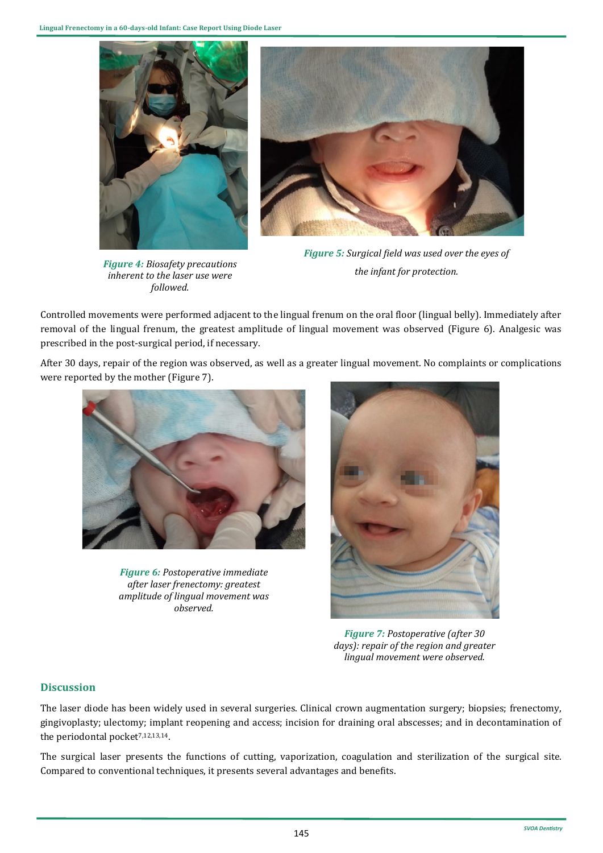

*Figure 4: Biosafety precautions inherent to the laser use were followed.*



*Figure 5: Surgical field was used over the eyes of the infant for protection.*

Controlled movements were performed adjacent to the lingual frenum on the oral floor (lingual belly). Immediately after removal of the lingual frenum, the greatest amplitude of lingual movement was observed (Figure 6). Analgesic was prescribed in the post-surgical period, if necessary.

After 30 days, repair of the region was observed, as well as a greater lingual movement. No complaints or complications were reported by the mother (Figure 7).



*Figure 6: Postoperative immediate after laser frenectomy: greatest amplitude of lingual movement was observed.*



*Figure 7: Postoperative (after 30 days): repair of the region and greater lingual movement were observed.*

# **Discussion**

The laser diode has been widely used in several surgeries. Clinical crown augmentation surgery; biopsies; frenectomy, gingivoplasty; ulectomy; implant reopening and access; incision for draining oral abscesses; and in decontamination of the periodontal pocket<sup>7,12,13,14</sup>.

The surgical laser presents the functions of cutting, vaporization, coagulation and sterilization of the surgical site. Compared to conventional techniques, it presents several advantages and benefits.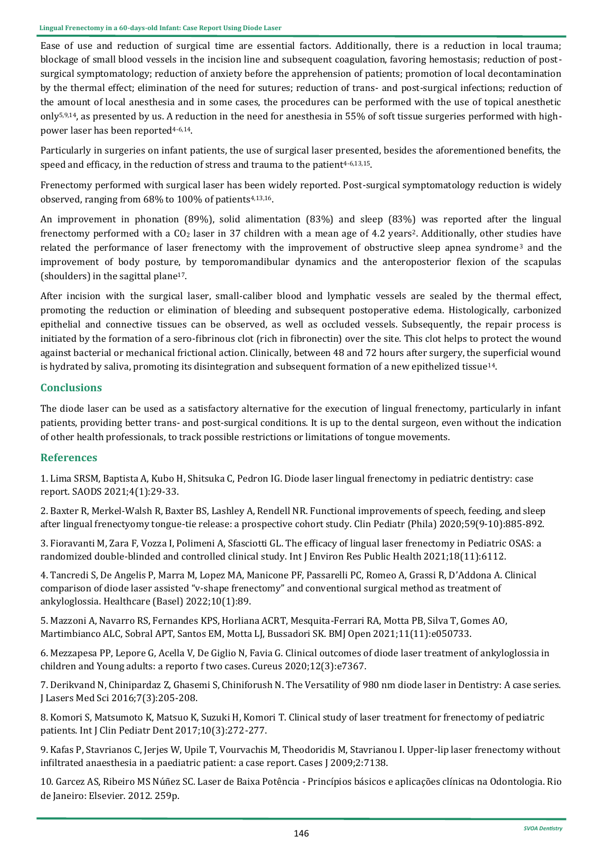Ease of use and reduction of surgical time are essential factors. Additionally, there is a reduction in local trauma; blockage of small blood vessels in the incision line and subsequent coagulation, favoring hemostasis; reduction of postsurgical symptomatology; reduction of anxiety before the apprehension of patients; promotion of local decontamination by the thermal effect; elimination of the need for sutures; reduction of trans- and post-surgical infections; reduction of the amount of local anesthesia and in some cases, the procedures can be performed with the use of topical anesthetic only5,9,14, as presented by us. A reduction in the need for anesthesia in 55% of soft tissue surgeries performed with highpower laser has been reported4-6,14.

Particularly in surgeries on infant patients, the use of surgical laser presented, besides the aforementioned benefits, the speed and efficacy, in the reduction of stress and trauma to the patient<sup>4-6,13,15</sup>.

Frenectomy performed with surgical laser has been widely reported. Post-surgical symptomatology reduction is widely observed, ranging from 68% to 100% of patients4,13,16.

An improvement in phonation (89%), solid alimentation (83%) and sleep (83%) was reported after the lingual frenectomy performed with a  $CO<sub>2</sub>$  laser in 37 children with a mean age of 4.2 years<sup>2</sup>. Additionally, other studies have related the performance of laser frenectomy with the improvement of obstructive sleep apnea syndrome<sup>3</sup> and the improvement of body posture, by temporomandibular dynamics and the anteroposterior flexion of the scapulas (shoulders) in the sagittal plane17.

After incision with the surgical laser, small-caliber blood and lymphatic vessels are sealed by the thermal effect, promoting the reduction or elimination of bleeding and subsequent postoperative edema. Histologically, carbonized epithelial and connective tissues can be observed, as well as occluded vessels. Subsequently, the repair process is initiated by the formation of a sero-fibrinous clot (rich in fibronectin) over the site. This clot helps to protect the wound against bacterial or mechanical frictional action. Clinically, between 48 and 72 hours after surgery, the superficial wound is hydrated by saliva, promoting its disintegration and subsequent formation of a new epithelized tissue14.

## **Conclusions**

The diode laser can be used as a satisfactory alternative for the execution of lingual frenectomy, particularly in infant patients, providing better trans- and post-surgical conditions. It is up to the dental surgeon, even without the indication of other health professionals, to track possible restrictions or limitations of tongue movements.

### **References**

[1. Lima SRSM, Baptista A, Kubo H, Shitsuka C, Pedron IG. Diode laser lingual frenectomy in pediatric dentistry: case](https://www.saods.us/pdf/SAODS-03-0181.pdf)  [report. SAODS 2021;4\(1\):29](https://www.saods.us/pdf/SAODS-03-0181.pdf)-33.

2. Baxter R, Merkel-[Walsh R, Baxter BS, Lashley A, Rendell NR. Functional improvements of speech, feeding, and sleep](https://pubmed.ncbi.nlm.nih.gov/32462918/)  after lingual frenectyomy tongue-[tie release: a prospective cohort study. Clin Pediatr \(Phila\) 2020;59\(9](https://pubmed.ncbi.nlm.nih.gov/32462918/)-10):885-892.

[3. Fioravanti M, Zara F, Vozza I, Polimeni A, Sfasciotti GL. The efficacy of lingual laser frenectomy in Pediatric OSAS: a](https://www.ncbi.nlm.nih.gov/pmc/articles/PMC8200995/)  randomized double-[blinded and controlled clinical study. Int J Environ Res Public Health 2021;18\(11\):6112.](https://www.ncbi.nlm.nih.gov/pmc/articles/PMC8200995/)

[4. Tancredi S, De Angelis P, Marra M, Lopez MA, Manicone PF, Passarelli PC, Romeo A, Grassi R, D](https://pubmed.ncbi.nlm.nih.gov/35052254/)'Addona A. Clinical comparison of diode laser assisted "v-shape frenectomy" [and conventional surgical method as treatment of](https://pubmed.ncbi.nlm.nih.gov/35052254/)  [ankyloglossia. Healthcare \(Basel\) 2022;10\(1\):89.](https://pubmed.ncbi.nlm.nih.gov/35052254/)

[5. Mazzoni A, Navarro RS, Fernandes KPS, Horliana ACRT, Mesquita](https://pubmed.ncbi.nlm.nih.gov/34848514/)-Ferrari RA, Motta PB, Silva T, Gomes AO, [Martimbianco ALC, Sobral APT, Santos EM, Motta LJ, Bussadori SK. BMJ Open 2021;11\(11\):e050733.](https://pubmed.ncbi.nlm.nih.gov/34848514/)

[6. Mezzapesa PP, Lepore G, Acella V, De Giglio N, Favia G. Clinical outcomes of diode laser treatment of ankyloglossia in](https://www.cureus.com/articles/28764-clinical-outcomes-of-diode-laser-treatment-of-ankyloglossia-in-children-and-young-adults-a-report-of-two-cases)  [children and Young adults: a reporto f two cases. Cureus 2020;12\(3\):e7367.](https://www.cureus.com/articles/28764-clinical-outcomes-of-diode-laser-treatment-of-ankyloglossia-in-children-and-young-adults-a-report-of-two-cases)

[7. Derikvand N, Chinipardaz Z, Ghasemi S, Chiniforush N. The Versatility of 980 nm diode laser in Dentistry: A case series.](https://www.ncbi.nlm.nih.gov/pmc/articles/PMC5262490/)  [J Lasers Med Sci 2016;7\(3\):205](https://www.ncbi.nlm.nih.gov/pmc/articles/PMC5262490/)-208.

[8. Komori S, Matsumoto K, Matsuo K, Suzuki H, Komori T. Clinical study of laser treatment for frenectomy of pediatric](https://pubmed.ncbi.nlm.nih.gov/29104388/)  [patients. Int J Clin Pediatr Dent 2017;10\(3\):272](https://pubmed.ncbi.nlm.nih.gov/29104388/)-277.

9. Kafas P, Stavrianos C, Jerjes W, Upile T, Vourvachis M, Theodoridis M, Stavrianou I. Upper-lip laser frenectomy without infiltrated anaesthesia in a paediatric patient: a case report. Cases J 2009;2:7138.

10. Garcez AS, Ribeiro MS Núñez SC. Laser de Baixa Potência - Princípios básicos e aplicações clínicas na Odontologia. Rio de Janeiro: Elsevier. 2012. 259p.